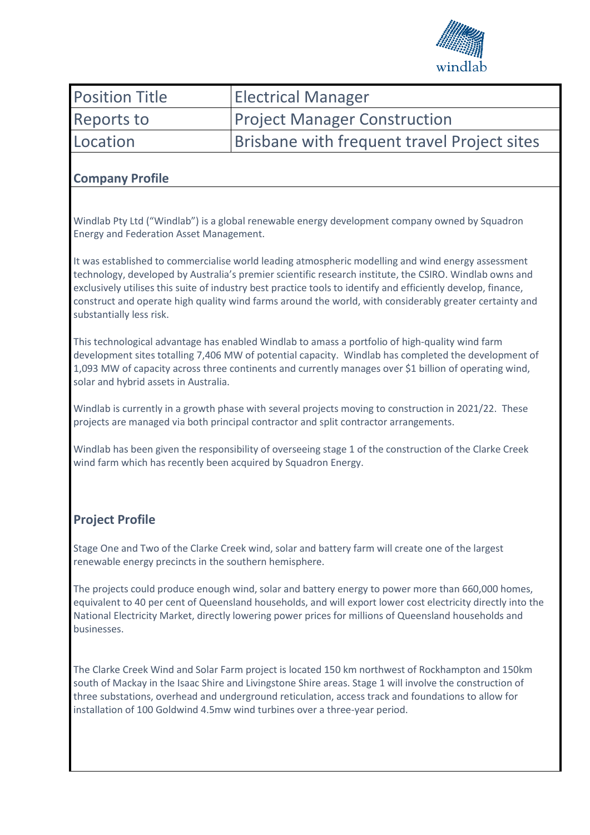

| <b>Position Title</b> | <b>Electrical Manager</b>                   |
|-----------------------|---------------------------------------------|
| <b>Reports to</b>     | <b>Project Manager Construction</b>         |
| Location              | Brisbane with frequent travel Project sites |

## **Company Profile**

Windlab Pty Ltd ("Windlab") is a global renewable energy development company owned by Squadron Energy and Federation Asset Management.

It was established to commercialise world leading atmospheric modelling and wind energy assessment technology, developed by Australia's premier scientific research institute, the CSIRO. Windlab owns and exclusively utilises this suite of industry best practice tools to identify and efficiently develop, finance, construct and operate high quality wind farms around the world, with considerably greater certainty and substantially less risk.

This technological advantage has enabled Windlab to amass a portfolio of high-quality wind farm development sites totalling 7,406 MW of potential capacity. Windlab has completed the development of 1,093 MW of capacity across three continents and currently manages over \$1 billion of operating wind, solar and hybrid assets in Australia.

Windlab is currently in a growth phase with several projects moving to construction in 2021/22. These projects are managed via both principal contractor and split contractor arrangements.

Windlab has been given the responsibility of overseeing stage 1 of the construction of the Clarke Creek wind farm which has recently been acquired by Squadron Energy.

# **Project Profile**

Stage One and Two of the Clarke Creek wind, solar and battery farm will create one of the largest renewable energy precincts in the southern hemisphere.

The projects could produce enough wind, solar and battery energy to power more than 660,000 homes, equivalent to 40 per cent of Queensland households, and will export lower cost electricity directly into the National Electricity Market, directly lowering power prices for millions of Queensland households and businesses.

The Clarke Creek Wind and Solar Farm project is located 150 km northwest of Rockhampton and 150km south of Mackay in the Isaac Shire and Livingstone Shire areas. Stage 1 will involve the construction of three substations, overhead and underground reticulation, access track and foundations to allow for installation of 100 Goldwind 4.5mw wind turbines over a three-year period.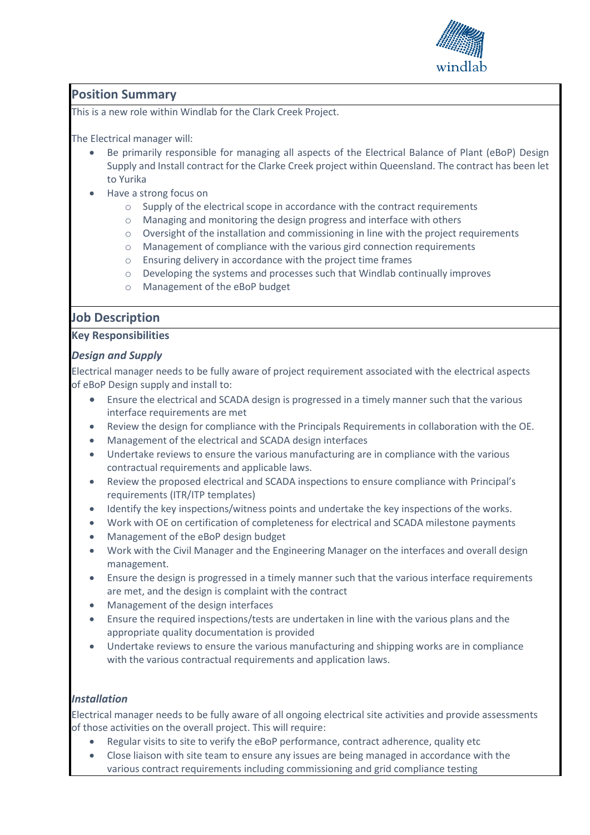

# **Position Summary**

This is a new role within Windlab for the Clark Creek Project.

The Electrical manager will:

- Be primarily responsible for managing all aspects of the Electrical Balance of Plant (eBoP) Design Supply and Install contract for the Clarke Creek project within Queensland. The contract has been let to Yurika
- Have a strong focus on
	- o Supply of the electrical scope in accordance with the contract requirements
	- o Managing and monitoring the design progress and interface with others
	- o Oversight of the installation and commissioning in line with the project requirements
	- o Management of compliance with the various gird connection requirements
	- o Ensuring delivery in accordance with the project time frames
	- o Developing the systems and processes such that Windlab continually improves
	- o Management of the eBoP budget

## **Job Description**

## **Key Responsibilities**

## *Design and Supply*

Electrical manager needs to be fully aware of project requirement associated with the electrical aspects of eBoP Design supply and install to:

- Ensure the electrical and SCADA design is progressed in a timely manner such that the various interface requirements are met
- Review the design for compliance with the Principals Requirements in collaboration with the OE.
- Management of the electrical and SCADA design interfaces
- Undertake reviews to ensure the various manufacturing are in compliance with the various contractual requirements and applicable laws.
- Review the proposed electrical and SCADA inspections to ensure compliance with Principal's requirements (ITR/ITP templates)
- Identify the key inspections/witness points and undertake the key inspections of the works.
- Work with OE on certification of completeness for electrical and SCADA milestone payments
- Management of the eBoP design budget
- Work with the Civil Manager and the Engineering Manager on the interfaces and overall design management.
- Ensure the design is progressed in a timely manner such that the various interface requirements are met, and the design is complaint with the contract
- Management of the design interfaces
- Ensure the required inspections/tests are undertaken in line with the various plans and the appropriate quality documentation is provided
- Undertake reviews to ensure the various manufacturing and shipping works are in compliance with the various contractual requirements and application laws.

## *Installation*

Electrical manager needs to be fully aware of all ongoing electrical site activities and provide assessments of those activities on the overall project. This will require:

- Regular visits to site to verify the eBoP performance, contract adherence, quality etc
- Close liaison with site team to ensure any issues are being managed in accordance with the various contract requirements including commissioning and grid compliance testing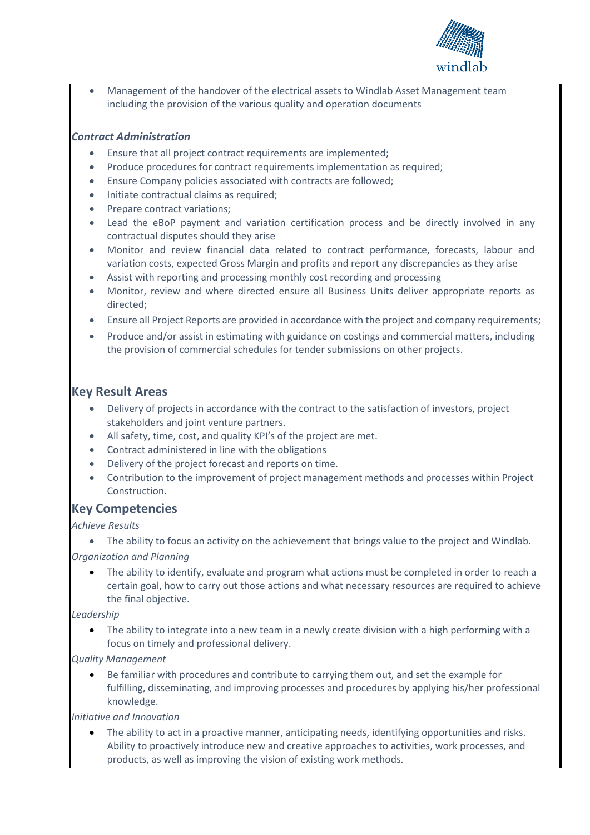

• Management of the handover of the electrical assets to Windlab Asset Management team including the provision of the various quality and operation documents

## *Contract Administration*

- Ensure that all project contract requirements are implemented;
- Produce procedures for contract requirements implementation as required;
- Ensure Company policies associated with contracts are followed;
- Initiate contractual claims as required;
- Prepare contract variations;
- Lead the eBoP payment and variation certification process and be directly involved in any contractual disputes should they arise
- Monitor and review financial data related to contract performance, forecasts, labour and variation costs, expected Gross Margin and profits and report any discrepancies as they arise
- Assist with reporting and processing monthly cost recording and processing
- Monitor, review and where directed ensure all Business Units deliver appropriate reports as directed;
- Ensure all Project Reports are provided in accordance with the project and company requirements;
- Produce and/or assist in estimating with guidance on costings and commercial matters, including the provision of commercial schedules for tender submissions on other projects.

## **Key Result Areas**

- Delivery of projects in accordance with the contract to the satisfaction of investors, project stakeholders and joint venture partners.
- All safety, time, cost, and quality KPI's of the project are met.
- Contract administered in line with the obligations
- Delivery of the project forecast and reports on time.
- Contribution to the improvement of project management methods and processes within Project Construction.

## **Key Competencies**

*Achieve Results* 

• The ability to focus an activity on the achievement that brings value to the project and Windlab. *Organization and Planning* 

The ability to identify, evaluate and program what actions must be completed in order to reach a certain goal, how to carry out those actions and what necessary resources are required to achieve the final objective.

#### *Leadership*

The ability to integrate into a new team in a newly create division with a high performing with a focus on timely and professional delivery.

#### *Quality Management*

• Be familiar with procedures and contribute to carrying them out, and set the example for fulfilling, disseminating, and improving processes and procedures by applying his/her professional knowledge.

*Initiative and Innovation* 

The ability to act in a proactive manner, anticipating needs, identifying opportunities and risks. Ability to proactively introduce new and creative approaches to activities, work processes, and products, as well as improving the vision of existing work methods.